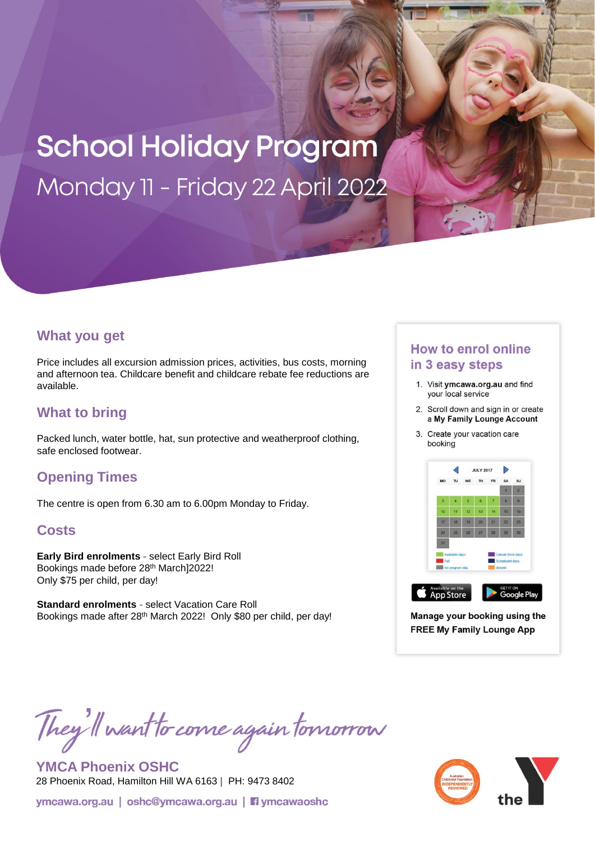# **School Holiday Program** Monday 11 - Friday 22 April 2022

### **What you get**

Price includes all excursion admission prices, activities, bus costs, morning and afternoon tea. Childcare benefit and childcare rebate fee reductions are available.

## **What to bring**

Packed lunch, water bottle, hat, sun protective and weatherproof clothing, safe enclosed footwear.

## **Opening Times**

The centre is open from 6.30 am to 6.00pm Monday to Friday.

### **Costs**

**Early Bird enrolments -** select Early Bird Roll Bookings made before 28th March]2022! Only \$75 per child, per day!

**Standard enrolments -** select Vacation Care Roll Bookings made after 28<sup>th</sup> March 2022! Only \$80 per child, per day!

## **How to enrol online** in 3 easy steps

- 1. Visit ymcawa.org.au and find your local service
- 2. Scroll down and sign in or create a My Family Lounge Account
- 3. Create your vacation care booking



Manage your booking using the **FREE My Family Lounge App** 

They'll want to come again tomorrow

**YMCA Phoenix OSHC** 28 Phoenix Road, Hamilton Hill WA 6163 **|** PH: 9473 8402